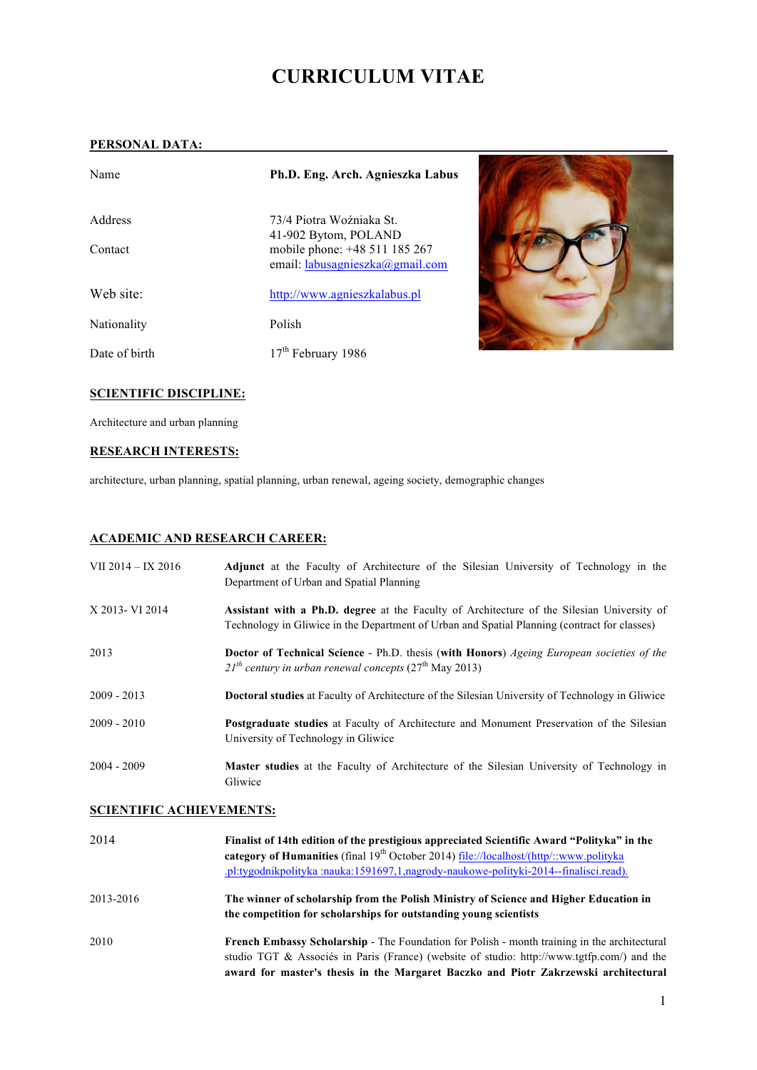# **CURRICULUM VITAE**

#### **PERSONAL DATA:**

| Name          | Ph.D. Eng. Arch. Agnieszka Labus                                 |  |
|---------------|------------------------------------------------------------------|--|
| Address       | 73/4 Piotra Woźniaka St.<br>41-902 Bytom, POLAND                 |  |
| Contact       | mobile phone: +48 511 185 267<br>email: labusagnieszka@gmail.com |  |
| Web site:     | http://www.agnieszkalabus.pl                                     |  |
| Nationality   | Polish                                                           |  |
| Date of birth | $17th$ February 1986                                             |  |

#### **SCIENTIFIC DISCIPLINE:**

Architecture and urban planning

#### **RESEARCH INTERESTS:**

architecture, urban planning, spatial planning, urban renewal, ageing society, demographic changes

### **ACADEMIC AND RESEARCH CAREER:**

| VII 2014 – IX 2016 | <b>Adjunct</b> at the Faculty of Architecture of the Silesian University of Technology in the<br>Department of Urban and Spatial Planning                                                         |
|--------------------|---------------------------------------------------------------------------------------------------------------------------------------------------------------------------------------------------|
| X 2013 - VI 2014   | <b>Assistant with a Ph.D. degree</b> at the Faculty of Architecture of the Silesian University of<br>Technology in Gliwice in the Department of Urban and Spatial Planning (contract for classes) |
| 2013               | <b>Doctor of Technical Science - Ph.D.</b> thesis (with Honors) Ageing European societies of the<br>$21^{th}$ century in urban renewal concepts ( $27^{th}$ May 2013)                             |
| $2009 - 2013$      | <b>Doctoral studies</b> at Faculty of Architecture of the Silesian University of Technology in Gliwice                                                                                            |
| $2009 - 2010$      | <b>Postgraduate studies</b> at Faculty of Architecture and Monument Preservation of the Silesian<br>University of Technology in Gliwice                                                           |
| $2004 - 2009$      | <b>Master studies</b> at the Faculty of Architecture of the Silesian University of Technology in<br>Gliwice                                                                                       |

#### **SCIENTIFIC ACHIEVEMENTS:**

| 2014      | Finalist of 14th edition of the prestigious appreciated Scientific Award "Polityka" in the<br>category of Humanities (final $19th$ October 2014) file://localhost/(http/::www.polityka<br>.pl:tygodnikpolityka :nauka:1591697,1,nagrody-naukowe-polityki-2014--finalisci.read).          |
|-----------|------------------------------------------------------------------------------------------------------------------------------------------------------------------------------------------------------------------------------------------------------------------------------------------|
| 2013-2016 | The winner of scholarship from the Polish Ministry of Science and Higher Education in<br>the competition for scholarships for outstanding young scientists                                                                                                                               |
| 2010      | <b>French Embassy Scholarship - The Foundation for Polish - month training in the architectural</b><br>studio TGT & Associés in Paris (France) (website of studio: http://www.tgtfp.com/) and the<br>award for master's thesis in the Margaret Baczko and Piotr Zakrzewski architectural |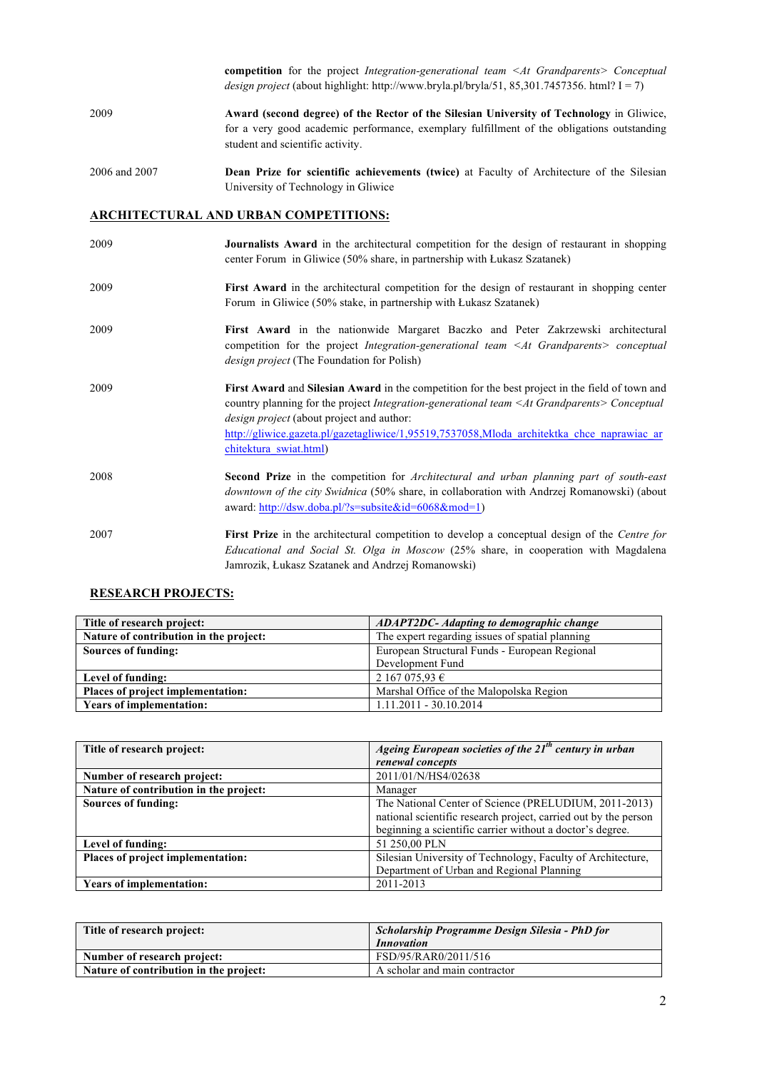|               | <b>competition</b> for the project Integration-generational team $\leq At$ Grandparents Conceptual<br><i>design project</i> (about highlight: http://www.bryla.pl/bryla/51, 85,301.7457356. html? $I = 7$ )                |
|---------------|----------------------------------------------------------------------------------------------------------------------------------------------------------------------------------------------------------------------------|
| 2009          | Award (second degree) of the Rector of the Silesian University of Technology in Gliwice,<br>for a very good academic performance, exemplary fulfillment of the obligations outstanding<br>student and scientific activity. |
| 2006 and 2007 | <b>Dean Prize for scientific achievements (twice)</b> at Faculty of Architecture of the Silesian<br>University of Technology in Gliwice                                                                                    |

### **ARCHITECTURAL AND URBAN COMPETITIONS:**

| 2009 | <b>Journalists Award</b> in the architectural competition for the design of restaurant in shopping<br>center Forum in Gliwice (50% share, in partnership with Lukasz Szatanek)                                                                                                                                                                                                 |
|------|--------------------------------------------------------------------------------------------------------------------------------------------------------------------------------------------------------------------------------------------------------------------------------------------------------------------------------------------------------------------------------|
| 2009 | First Award in the architectural competition for the design of restaurant in shopping center<br>Forum in Gliwice (50% stake, in partnership with Lukasz Szatanek)                                                                                                                                                                                                              |
| 2009 | First Award in the nationwide Margaret Baczko and Peter Zakrzewski architectural<br>competition for the project <i>Integration-generational team</i> $\leq At$ <i>Grandparents &gt; conceptual</i><br><i>design project</i> (The Foundation for Polish)                                                                                                                        |
| 2009 | First Award and Silesian Award in the competition for the best project in the field of town and<br>country planning for the project Integration-generational team <at grandparents=""> Conceptual<br/>design project (about project and author:<br/>http://gliwice.gazeta.pl/gazetagliwice/1,95519,7537058,Mloda architektka chce naprawiac ar<br/>chitektura swiat.html)</at> |
| 2008 | <b>Second Prize</b> in the competition for Architectural and urban planning part of south-east<br>downtown of the city Swidnica (50% share, in collaboration with Andrzej Romanowski) (about<br>award: http://dsw.doba.pl/?s=subsite&id=6068&mod=1)                                                                                                                            |
| 2007 | <b>First Prize</b> in the architectural competition to develop a conceptual design of the <i>Centre for</i><br>Educational and Social St. Olga in Moscow (25% share, in cooperation with Magdalena<br>Jamrozik, Łukasz Szatanek and Andrzej Romanowski)                                                                                                                        |

### **RESEARCH PROJECTS:**

| Title of research project:             | <b>ADAPT2DC-</b> Adapting to demographic change |
|----------------------------------------|-------------------------------------------------|
| Nature of contribution in the project: | The expert regarding issues of spatial planning |
| Sources of funding:                    | European Structural Funds - European Regional   |
|                                        | Development Fund                                |
| Level of funding:                      | 2 167 075,93 €                                  |
| Places of project implementation:      | Marshal Office of the Malopolska Region         |
| <b>Years of implementation:</b>        | $1.11.2011 - 30.10.2014$                        |

| Title of research project:             | Ageing European societies of the 21 <sup>th</sup> century in urban |
|----------------------------------------|--------------------------------------------------------------------|
|                                        | renewal concepts                                                   |
| Number of research project:            | 2011/01/N/HS4/02638                                                |
| Nature of contribution in the project: | Manager                                                            |
| Sources of funding:                    | The National Center of Science (PRELUDIUM, 2011-2013)              |
|                                        | national scientific research project, carried out by the person    |
|                                        | beginning a scientific carrier without a doctor's degree.          |
| Level of funding:                      | 51 250,00 PLN                                                      |
| Places of project implementation:      | Silesian University of Technology, Faculty of Architecture,        |
|                                        | Department of Urban and Regional Planning                          |
| <b>Years of implementation:</b>        | 2011-2013                                                          |

| Title of research project:             | Scholarship Programme Design Silesia - PhD for |  |
|----------------------------------------|------------------------------------------------|--|
|                                        | <i>Innovation</i>                              |  |
| Number of research project:            | FSD/95/RAR0/2011/516                           |  |
| Nature of contribution in the project: | A scholar and main contractor                  |  |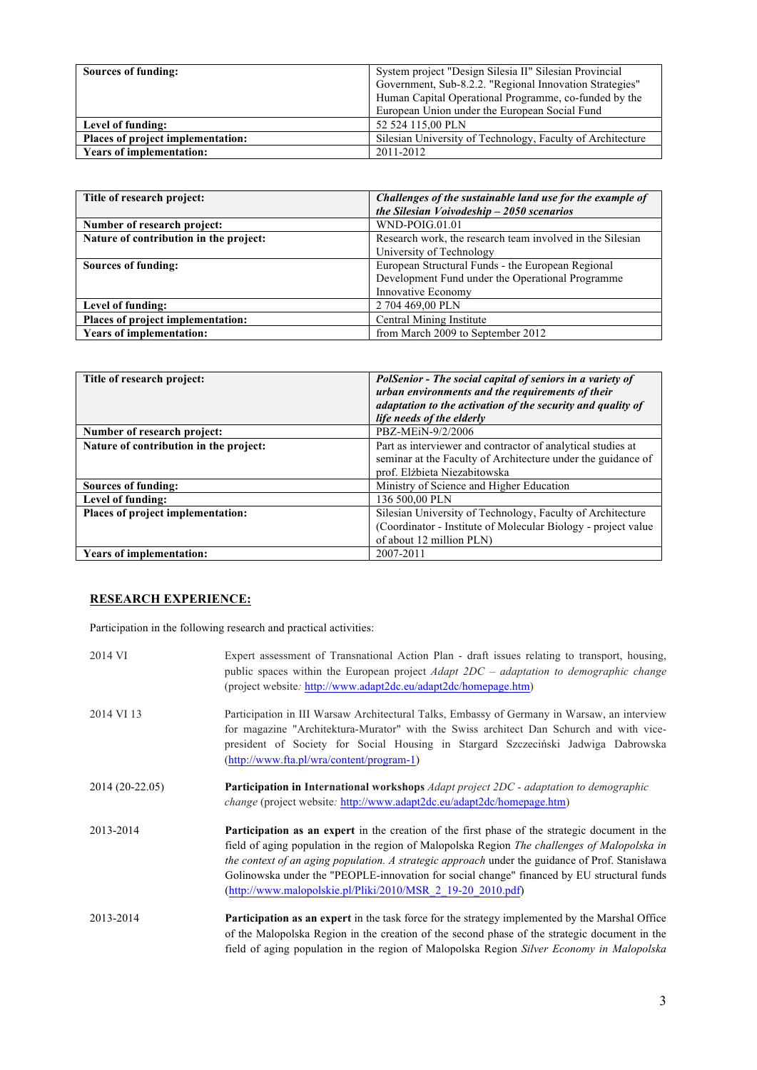| Sources of funding:               | System project "Design Silesia II" Silesian Provincial<br>Government, Sub-8.2.2. "Regional Innovation Strategies"<br>Human Capital Operational Programme, co-funded by the<br>European Union under the European Social Fund |
|-----------------------------------|-----------------------------------------------------------------------------------------------------------------------------------------------------------------------------------------------------------------------------|
| Level of funding:                 | 52 524 115,00 PLN                                                                                                                                                                                                           |
| Places of project implementation: | Silesian University of Technology, Faculty of Architecture                                                                                                                                                                  |
| <b>Years of implementation:</b>   | 2011-2012                                                                                                                                                                                                                   |

| Title of research project:             | Challenges of the sustainable land use for the example of |
|----------------------------------------|-----------------------------------------------------------|
|                                        | the Silesian Voivodeship $-2050$ scenarios                |
| Number of research project:            | WND-POIG.01.01                                            |
| Nature of contribution in the project: | Research work, the research team involved in the Silesian |
|                                        | University of Technology                                  |
| Sources of funding:                    | European Structural Funds - the European Regional         |
|                                        | Development Fund under the Operational Programme          |
|                                        | Innovative Economy                                        |
| Level of funding:                      | 2 704 469,00 PLN                                          |
| Places of project implementation:      | Central Mining Institute                                  |
| <b>Years of implementation:</b>        | from March 2009 to September 2012                         |

| Title of research project:             | <b>PolSenior - The social capital of seniors in a variety of</b><br>urban environments and the requirements of their<br>adaptation to the activation of the security and quality of<br>life needs of the elderly |
|----------------------------------------|------------------------------------------------------------------------------------------------------------------------------------------------------------------------------------------------------------------|
| Number of research project:            | PBZ-MEiN-9/2/2006                                                                                                                                                                                                |
| Nature of contribution in the project: | Part as interviewer and contractor of analytical studies at<br>seminar at the Faculty of Architecture under the guidance of<br>prof. Elżbieta Niezabitowska                                                      |
| Sources of funding:                    | Ministry of Science and Higher Education                                                                                                                                                                         |
| Level of funding:                      | 136 500.00 PLN                                                                                                                                                                                                   |
| Places of project implementation:      | Silesian University of Technology, Faculty of Architecture<br>(Coordinator - Institute of Molecular Biology - project value<br>of about 12 million PLN)                                                          |
| <b>Years of implementation:</b>        | 2007-2011                                                                                                                                                                                                        |

## **RESEARCH EXPERIENCE:**

Participation in the following research and practical activities:

| 2014 VI         | Expert assessment of Transnational Action Plan - draft issues relating to transport, housing,<br>public spaces within the European project <i>Adapt 2DC – adaptation to demographic change</i><br>(project website: http://www.adapt2dc.eu/adapt2dc/homepage.htm)                                                                                                                                                                                                       |
|-----------------|-------------------------------------------------------------------------------------------------------------------------------------------------------------------------------------------------------------------------------------------------------------------------------------------------------------------------------------------------------------------------------------------------------------------------------------------------------------------------|
| 2014 VI 13      | Participation in III Warsaw Architectural Talks, Embassy of Germany in Warsaw, an interview<br>for magazine "Architektura-Murator" with the Swiss architect Dan Schurch and with vice-<br>president of Society for Social Housing in Stargard Szczeciński Jadwiga Dabrowska<br>(http://www.fta.pl/wra/content/program-1)                                                                                                                                                |
| 2014 (20-22.05) | <b>Participation in International workshops</b> Adapt project 2DC - adaptation to demographic<br><i>change</i> (project website: http://www.adapt2dc.eu/adapt2dc/homepage.htm)                                                                                                                                                                                                                                                                                          |
| 2013-2014       | <b>Participation as an expert</b> in the creation of the first phase of the strategic document in the<br>field of aging population in the region of Malopolska Region The challenges of Malopolska in<br>the context of an aging population. A strategic approach under the guidance of Prof. Stanislawa<br>Golinowska under the "PEOPLE-innovation for social change" financed by EU structural funds<br>$(http://www.malopolskie.pl/Pliki/2010/MSR 2 19-20 2010.pdf)$ |
| 2013-2014       | <b>Participation as an expert</b> in the task force for the strategy implemented by the Marshal Office<br>of the Malopolska Region in the creation of the second phase of the strategic document in the<br>field of aging population in the region of Malopolska Region Silver Economy in Malopolska                                                                                                                                                                    |